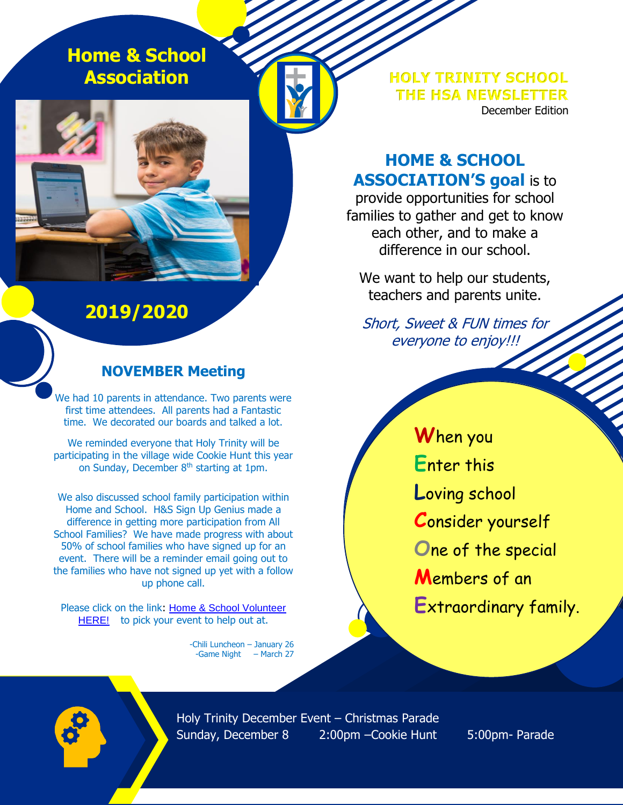**Home & School Association**

**HOLY TRINITY SCHOOL THE HSA NEWSLETTER** December Edition

# **HOME & SCHOOL ASSOCIATION'S goal** is to

provide opportunities for school families to gather and get to know each other, and to make a difference in our school.

We want to help our students, teachers and parents unite.

Short, Sweet & FUN times for everyone to enjoy!!!

**W**hen you **E**nter this **L**oving school **C**onsider yourself **O**ne of the special **M**embers of an **E**xtraordinary family.

**2019/2020**

## **NOVEMBER Meeting**

We had 10 parents in attendance. Two parents were first time attendees. All parents had a Fantastic time. We decorated our boards and talked a lot.

We reminded everyone that Holy Trinity will be participating in the village wide Cookie Hunt this year on Sunday, December 8th starting at 1pm.

We also discussed school family participation within Home and School. H&S Sign Up Genius made a difference in getting more participation from All School Families? We have made progress with about 50% of school families who have signed up for an event. There will be a reminder email going out to the families who have not signed up yet with a follow up phone call.

Please click on the link: [Home & School Volunteer](https://www.signupgenius.com/go/8050d44a4aa2da5fd0-volunteer)  [HERE!](https://www.signupgenius.com/go/8050d44a4aa2da5fd0-volunteer) to pick your event to help out at.

> -Chili Luncheon – January 26 -Game Night – March 27

Holy Trinity December Event – Christmas Parade Sunday, December 8 2:00pm –Cookie Hunt 5:00pm- Parade